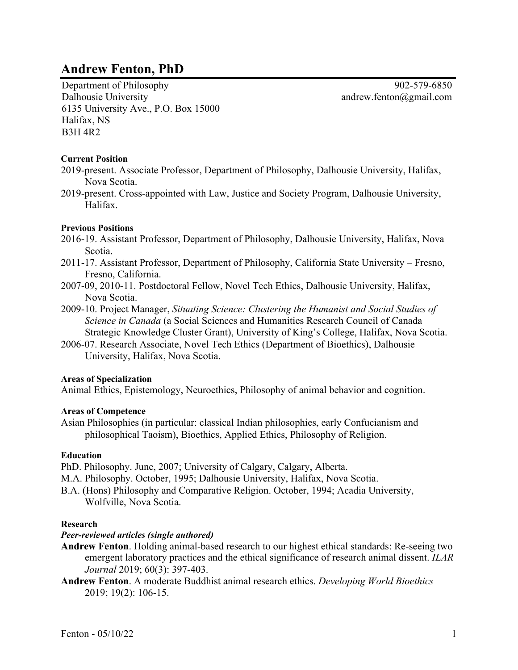# **Andrew Fenton, PhD**

Department of Philosophy 902-579-6850 Dalhousie University 6135 University Ave., P.O. Box 15000 Halifax, NS B3H 4R2

andrew.fenton@gmail.com

## **Current Position**

- 2019-present. Associate Professor, Department of Philosophy, Dalhousie University, Halifax, Nova Scotia.
- 2019-present. Cross-appointed with Law, Justice and Society Program, Dalhousie University, Halifax.

## **Previous Positions**

- 2016-19. Assistant Professor, Department of Philosophy, Dalhousie University, Halifax, Nova Scotia.
- 2011-17. Assistant Professor, Department of Philosophy, California State University Fresno, Fresno, California.
- 2007-09, 2010-11. Postdoctoral Fellow, Novel Tech Ethics, Dalhousie University, Halifax, Nova Scotia.
- 2009-10. Project Manager, *Situating Science: Clustering the Humanist and Social Studies of Science in Canada* (a Social Sciences and Humanities Research Council of Canada Strategic Knowledge Cluster Grant), University of King's College, Halifax, Nova Scotia.
- 2006-07. Research Associate, Novel Tech Ethics (Department of Bioethics), Dalhousie University, Halifax, Nova Scotia.

## **Areas of Specialization**

Animal Ethics, Epistemology, Neuroethics, Philosophy of animal behavior and cognition.

## **Areas of Competence**

Asian Philosophies (in particular: classical Indian philosophies, early Confucianism and philosophical Taoism), Bioethics, Applied Ethics, Philosophy of Religion.

## **Education**

PhD. Philosophy. June, 2007; University of Calgary, Calgary, Alberta.

- M.A. Philosophy. October, 1995; Dalhousie University, Halifax, Nova Scotia.
- B.A. (Hons) Philosophy and Comparative Religion. October, 1994; Acadia University, Wolfville, Nova Scotia.

## **Research**

# *Peer-reviewed articles (single authored)*

- **Andrew Fenton**. Holding animal-based research to our highest ethical standards: Re-seeing two emergent laboratory practices and the ethical significance of research animal dissent. *ILAR Journal* 2019; 60(3): 397-403.
- **Andrew Fenton**. A moderate Buddhist animal research ethics. *Developing World Bioethics* 2019; 19(2): 106-15.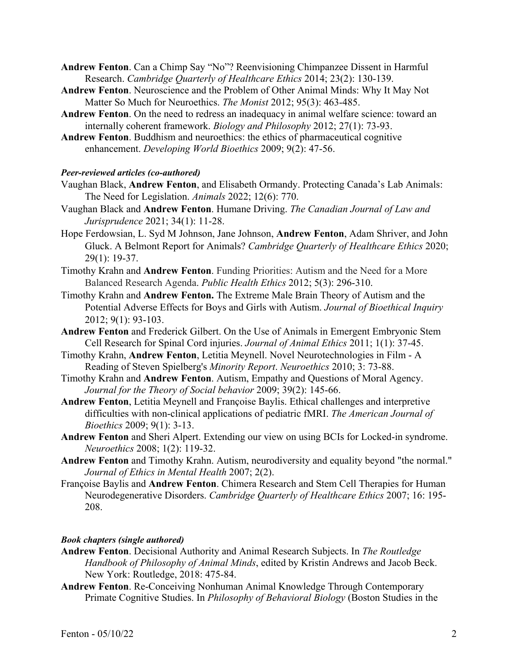**Andrew Fenton**. Can a Chimp Say "No"? Reenvisioning Chimpanzee Dissent in Harmful Research. *Cambridge Quarterly of Healthcare Ethics* 2014; 23(2): 130-139.

- **Andrew Fenton**. Neuroscience and the Problem of Other Animal Minds: Why It May Not Matter So Much for Neuroethics. *The Monist* 2012; 95(3): 463-485.
- **Andrew Fenton**. On the need to redress an inadequacy in animal welfare science: toward an internally coherent framework. *Biology and Philosophy* 2012; 27(1): 73-93.
- **Andrew Fenton**. Buddhism and neuroethics: the ethics of pharmaceutical cognitive enhancement. *Developing World Bioethics* 2009; 9(2): 47-56.

## *Peer-reviewed articles (co-authored)*

- Vaughan Black, **Andrew Fenton**, and Elisabeth Ormandy. Protecting Canada's Lab Animals: The Need for Legislation. *Animals* 2022; 12(6): 770.
- Vaughan Black and **Andrew Fenton**. Humane Driving. *The Canadian Journal of Law and Jurisprudence* 2021; 34(1): 11-28.
- Hope Ferdowsian, L. Syd M Johnson, Jane Johnson, **Andrew Fenton**, Adam Shriver, and John Gluck. A Belmont Report for Animals? *Cambridge Quarterly of Healthcare Ethics* 2020; 29(1): 19-37.
- Timothy Krahn and **Andrew Fenton**. Funding Priorities: Autism and the Need for a More Balanced Research Agenda. *Public Health Ethics* 2012; 5(3): 296-310.
- Timothy Krahn and **Andrew Fenton.** The Extreme Male Brain Theory of Autism and the Potential Adverse Effects for Boys and Girls with Autism. *Journal of Bioethical Inquiry* 2012; 9(1): 93-103.
- **Andrew Fenton** and Frederick Gilbert. On the Use of Animals in Emergent Embryonic Stem Cell Research for Spinal Cord injuries. *Journal of Animal Ethics* 2011; 1(1): 37-45.
- Timothy Krahn, **Andrew Fenton**, Letitia Meynell. Novel Neurotechnologies in Film A Reading of Steven Spielberg's *Minority Report*. *Neuroethics* 2010; 3: 73-88.
- Timothy Krahn and **Andrew Fenton**. Autism, Empathy and Questions of Moral Agency. *Journal for the Theory of Social behavior* 2009; 39(2): 145-66.
- **Andrew Fenton**, Letitia Meynell and Françoise Baylis. Ethical challenges and interpretive difficulties with non-clinical applications of pediatric fMRI. *The American Journal of Bioethics* 2009; 9(1): 3-13.
- **Andrew Fenton** and Sheri Alpert. Extending our view on using BCIs for Locked-in syndrome. *Neuroethics* 2008; 1(2): 119-32.
- **Andrew Fenton** and Timothy Krahn. Autism, neurodiversity and equality beyond "the normal." *Journal of Ethics in Mental Health* 2007; 2(2).
- Françoise Baylis and **Andrew Fenton**. Chimera Research and Stem Cell Therapies for Human Neurodegenerative Disorders. *Cambridge Quarterly of Healthcare Ethics* 2007; 16: 195- 208.

## *Book chapters (single authored)*

- **Andrew Fenton**. Decisional Authority and Animal Research Subjects. In *The Routledge Handbook of Philosophy of Animal Minds*, edited by Kristin Andrews and Jacob Beck. New York: Routledge, 2018: 475-84.
- **Andrew Fenton**. Re-Conceiving Nonhuman Animal Knowledge Through Contemporary Primate Cognitive Studies. In *Philosophy of Behavioral Biology* (Boston Studies in the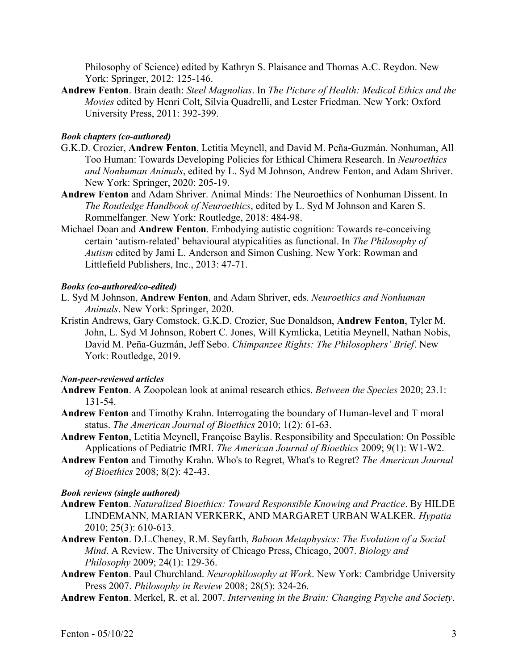Philosophy of Science) edited by Kathryn S. Plaisance and Thomas A.C. Reydon. New York: Springer, 2012: 125-146.

**Andrew Fenton**. Brain death: *Steel Magnolias*. In *The Picture of Health: Medical Ethics and the Movies* edited by Henri Colt, Silvia Quadrelli, and Lester Friedman. New York: Oxford University Press, 2011: 392-399.

# *Book chapters (co-authored)*

- G.K.D. Crozier, **Andrew Fenton**, Letitia Meynell, and David M. Peña-Guzmán. Nonhuman, All Too Human: Towards Developing Policies for Ethical Chimera Research. In *Neuroethics and Nonhuman Animals*, edited by L. Syd M Johnson, Andrew Fenton, and Adam Shriver. New York: Springer, 2020: 205-19.
- **Andrew Fenton** and Adam Shriver. Animal Minds: The Neuroethics of Nonhuman Dissent. In *The Routledge Handbook of Neuroethics*, edited by L. Syd M Johnson and Karen S. Rommelfanger. New York: Routledge, 2018: 484-98.
- Michael Doan and **Andrew Fenton**. Embodying autistic cognition: Towards re-conceiving certain 'autism-related' behavioural atypicalities as functional. In *The Philosophy of Autism* edited by Jami L. Anderson and Simon Cushing. New York: Rowman and Littlefield Publishers, Inc., 2013: 47-71.

## *Books (co-authored/co-edited)*

- L. Syd M Johnson, **Andrew Fenton**, and Adam Shriver, eds. *Neuroethics and Nonhuman Animals*. New York: Springer, 2020.
- Kristin Andrews, Gary Comstock, G.K.D. Crozier, Sue Donaldson, **Andrew Fenton**, Tyler M. John, L. Syd M Johnson, Robert C. Jones, Will Kymlicka, Letitia Meynell, Nathan Nobis, David M. Peña-Guzmán, Jeff Sebo. *Chimpanzee Rights: The Philosophers' Brief*. New York: Routledge, 2019.

## *Non-peer-reviewed articles*

- **Andrew Fenton**. A Zoopolean look at animal research ethics. *Between the Species* 2020; 23.1: 131-54.
- **Andrew Fenton** and Timothy Krahn. Interrogating the boundary of Human-level and T moral status. *The American Journal of Bioethics* 2010; 1(2): 61-63.
- **Andrew Fenton**, Letitia Meynell, Françoise Baylis. Responsibility and Speculation: On Possible Applications of Pediatric fMRI. *The American Journal of Bioethics* 2009; 9(1): W1-W2.
- **Andrew Fenton** and Timothy Krahn. Who's to Regret, What's to Regret? *The American Journal of Bioethics* 2008; 8(2): 42-43.

#### *Book reviews (single authored)*

- **Andrew Fenton**. *Naturalized Bioethics: Toward Responsible Knowing and Practice*. By HILDE LINDEMANN, MARIAN VERKERK, AND MARGARET URBAN WALKER. *Hypatia* 2010; 25(3): 610-613.
- **Andrew Fenton**. D.L.Cheney, R.M. Seyfarth, *Baboon Metaphysics: The Evolution of a Social Mind*. A Review. The University of Chicago Press, Chicago, 2007. *Biology and Philosophy* 2009; 24(1): 129-36.
- **Andrew Fenton**. Paul Churchland. *Neurophilosophy at Work*. New York: Cambridge University Press 2007. *Philosophy in Review* 2008; 28(5): 324-26.
- **Andrew Fenton**. Merkel, R. et al. 2007. *Intervening in the Brain: Changing Psyche and Society*.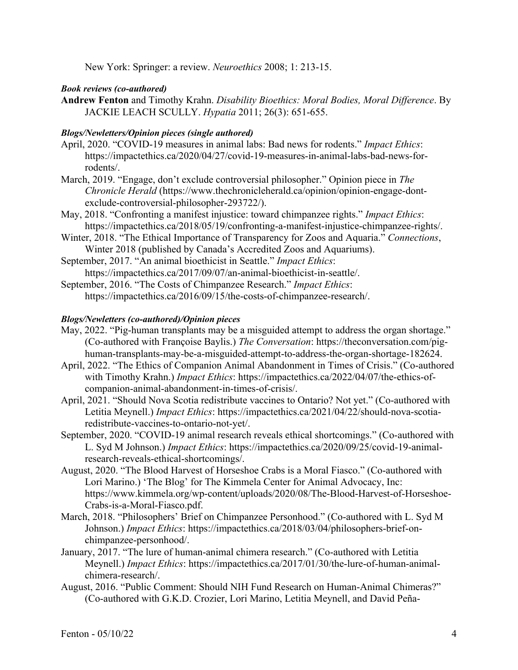New York: Springer: a review. *Neuroethics* 2008; 1: 213-15.

# *Book reviews (co-authored)*

**Andrew Fenton** and Timothy Krahn. *Disability Bioethics: Moral Bodies, Moral Difference*. By JACKIE LEACH SCULLY. *Hypatia* 2011; 26(3): 651-655.

# *Blogs/Newletters/Opinion pieces (single authored)*

- April, 2020. "COVID-19 measures in animal labs: Bad news for rodents." *Impact Ethics*: https://impactethics.ca/2020/04/27/covid-19-measures-in-animal-labs-bad-news-forrodents/.
- March, 2019. "Engage, don't exclude controversial philosopher." Opinion piece in *The Chronicle Herald* (https://www.thechronicleherald.ca/opinion/opinion-engage-dontexclude-controversial-philosopher-293722/).
- May, 2018. "Confronting a manifest injustice: toward chimpanzee rights." *Impact Ethics*: https://impactethics.ca/2018/05/19/confronting-a-manifest-injustice-chimpanzee-rights/.
- Winter, 2018. "The Ethical Importance of Transparency for Zoos and Aquaria." *Connections*, Winter 2018 (published by Canada's Accredited Zoos and Aquariums).
- September, 2017. "An animal bioethicist in Seattle." *Impact Ethics*: https://impactethics.ca/2017/09/07/an-animal-bioethicist-in-seattle/.
- September, 2016. "The Costs of Chimpanzee Research." *Impact Ethics*: https://impactethics.ca/2016/09/15/the-costs-of-chimpanzee-research/.

## *Blogs/Newletters (co-authored)/Opinion pieces*

- May, 2022. "Pig-human transplants may be a misguided attempt to address the organ shortage." (Co-authored with Françoise Baylis.) *The Conversation*: https://theconversation.com/pighuman-transplants-may-be-a-misguided-attempt-to-address-the-organ-shortage-182624.
- April, 2022. "The Ethics of Companion Animal Abandonment in Times of Crisis." (Co-authored with Timothy Krahn.) *Impact Ethics*: https://impactethics.ca/2022/04/07/the-ethics-ofcompanion-animal-abandonment-in-times-of-crisis/.
- April, 2021. "Should Nova Scotia redistribute vaccines to Ontario? Not yet." (Co-authored with Letitia Meynell.) *Impact Ethics*: https://impactethics.ca/2021/04/22/should-nova-scotiaredistribute-vaccines-to-ontario-not-yet/.
- September, 2020. "COVID-19 animal research reveals ethical shortcomings." (Co-authored with L. Syd M Johnson.) *Impact Ethics*: https://impactethics.ca/2020/09/25/covid-19-animalresearch-reveals-ethical-shortcomings/.
- August, 2020. "The Blood Harvest of Horseshoe Crabs is a Moral Fiasco." (Co-authored with Lori Marino.) 'The Blog' for The Kimmela Center for Animal Advocacy, Inc: https://www.kimmela.org/wp-content/uploads/2020/08/The-Blood-Harvest-of-Horseshoe-Crabs-is-a-Moral-Fiasco.pdf.
- March, 2018. "Philosophers' Brief on Chimpanzee Personhood." (Co-authored with L. Syd M Johnson.) *Impact Ethics*: https://impactethics.ca/2018/03/04/philosophers-brief-onchimpanzee-personhood/.
- January, 2017. "The lure of human-animal chimera research." (Co-authored with Letitia Meynell.) *Impact Ethics*: https://impactethics.ca/2017/01/30/the-lure-of-human-animalchimera-research/.
- August, 2016. "Public Comment: Should NIH Fund Research on Human-Animal Chimeras?" (Co-authored with G.K.D. Crozier, Lori Marino, Letitia Meynell, and David Peña-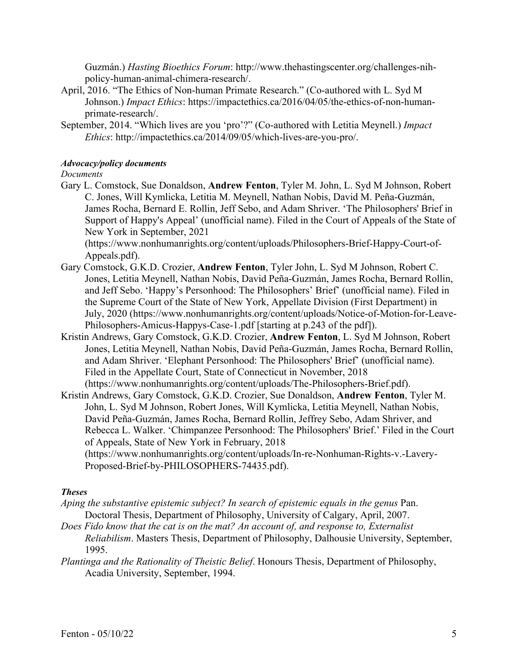Guzmán.) *Hasting Bioethics Forum*: http://www.thehastingscenter.org/challenges-nihpolicy-human-animal-chimera-research/.

- April, 2016. "The Ethics of Non-human Primate Research." (Co-authored with L. Syd M Johnson.) *Impact Ethics*: https://impactethics.ca/2016/04/05/the-ethics-of-non-humanprimate-research/.
- September, 2014. "Which lives are you 'pro'?" (Co-authored with Letitia Meynell.) *Impact Ethics*: http://impactethics.ca/2014/09/05/which-lives-are-you-pro/.

## *Advocacy/policy documents*

*Documents*

Gary L. Comstock, Sue Donaldson, **Andrew Fenton**, Tyler M. John, L. Syd M Johnson, Robert C. Jones, Will Kymlicka, Letitia M. Meynell, Nathan Nobis, David M. Peña-Guzmán, James Rocha, Bernard E. Rollin, Jeff Sebo, and Adam Shriver. 'The Philosophers' Brief in Support of Happy's Appeal' (unofficial name). Filed in the Court of Appeals of the State of New York in September, 2021

(https://www.nonhumanrights.org/content/uploads/Philosophers-Brief-Happy-Court-of-Appeals.pdf).

- Gary Comstock, G.K.D. Crozier, **Andrew Fenton**, Tyler John, L. Syd M Johnson, Robert C. Jones, Letitia Meynell, Nathan Nobis, David Peña-Guzmán, James Rocha, Bernard Rollin, and Jeff Sebo. 'Happy's Personhood: The Philosophers' Brief' (unofficial name). Filed in the Supreme Court of the State of New York, Appellate Division (First Department) in July, 2020 (https://www.nonhumanrights.org/content/uploads/Notice-of-Motion-for-Leave-Philosophers-Amicus-Happys-Case-1.pdf [starting at p.243 of the pdf]).
- Kristin Andrews, Gary Comstock, G.K.D. Crozier, **Andrew Fenton**, L. Syd M Johnson, Robert Jones, Letitia Meynell, Nathan Nobis, David Peña-Guzmán, James Rocha, Bernard Rollin, and Adam Shriver. 'Elephant Personhood: The Philosophers' Brief' (unofficial name). Filed in the Appellate Court, State of Connecticut in November, 2018 (https://www.nonhumanrights.org/content/uploads/The-Philosophers-Brief.pdf).
- Kristin Andrews, Gary Comstock, G.K.D. Crozier, Sue Donaldson, **Andrew Fenton**, Tyler M. John, L. Syd M Johnson, Robert Jones, Will Kymlicka, Letitia Meynell, Nathan Nobis, David Peña-Guzmán, James Rocha, Bernard Rollin, Jeffrey Sebo, Adam Shriver, and Rebecca L. Walker. 'Chimpanzee Personhood: The Philosophers' Brief.' Filed in the Court of Appeals, State of New York in February, 2018 (https://www.nonhumanrights.org/content/uploads/In-re-Nonhuman-Rights-v.-Lavery-
	- Proposed-Brief-by-PHILOSOPHERS-74435.pdf).

# *Theses*

- *Aping the substantive epistemic subject? In search of epistemic equals in the genus* Pan. Doctoral Thesis, Department of Philosophy, University of Calgary, April, 2007.
- *Does Fido know that the cat is on the mat? An account of, and response to, Externalist Reliabilism*. Masters Thesis, Department of Philosophy, Dalhousie University, September, 1995.
- *Plantinga and the Rationality of Theistic Belief*. Honours Thesis, Department of Philosophy, Acadia University, September, 1994.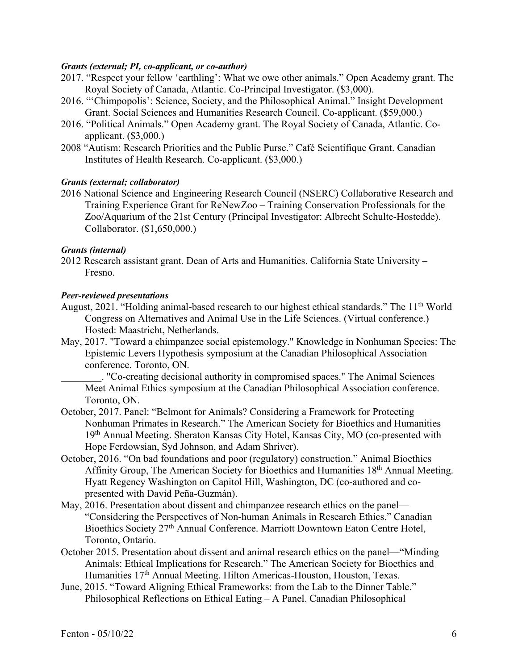## *Grants (external; PI, co-applicant, or co-author)*

- 2017. "Respect your fellow 'earthling': What we owe other animals." Open Academy grant. The Royal Society of Canada, Atlantic. Co-Principal Investigator. (\$3,000).
- 2016. "'Chimpopolis': Science, Society, and the Philosophical Animal." Insight Development Grant. Social Sciences and Humanities Research Council. Co-applicant. (\$59,000.)
- 2016. "Political Animals." Open Academy grant. The Royal Society of Canada, Atlantic. Coapplicant. (\$3,000.)
- 2008 "Autism: Research Priorities and the Public Purse." Café Scientifique Grant. Canadian Institutes of Health Research. Co-applicant. (\$3,000.)

# *Grants (external; collaborator)*

2016 National Science and Engineering Research Council (NSERC) Collaborative Research and Training Experience Grant for ReNewZoo – Training Conservation Professionals for the Zoo/Aquarium of the 21st Century (Principal Investigator: Albrecht Schulte-Hostedde). Collaborator. (\$1,650,000.)

## *Grants (internal)*

2012 Research assistant grant. Dean of Arts and Humanities. California State University – Fresno.

#### *Peer-reviewed presentations*

- August, 2021. "Holding animal-based research to our highest ethical standards." The 11<sup>th</sup> World Congress on Alternatives and Animal Use in the Life Sciences. (Virtual conference.) Hosted: Maastricht, Netherlands.
- May, 2017. "Toward a chimpanzee social epistemology." Knowledge in Nonhuman Species: The Epistemic Levers Hypothesis symposium at the Canadian Philosophical Association conference. Toronto, ON.

. "Co-creating decisional authority in compromised spaces." The Animal Sciences Meet Animal Ethics symposium at the Canadian Philosophical Association conference. Toronto, ON.

- October, 2017. Panel: "Belmont for Animals? Considering a Framework for Protecting Nonhuman Primates in Research." The American Society for Bioethics and Humanities 19th Annual Meeting. Sheraton Kansas City Hotel, Kansas City, MO (co-presented with Hope Ferdowsian, Syd Johnson, and Adam Shriver).
- October, 2016. "On bad foundations and poor (regulatory) construction." Animal Bioethics Affinity Group, The American Society for Bioethics and Humanities 18th Annual Meeting. Hyatt Regency Washington on Capitol Hill, Washington, DC (co-authored and copresented with David Peña-Guzmán).
- May, 2016. Presentation about dissent and chimpanzee research ethics on the panel— "Considering the Perspectives of Non-human Animals in Research Ethics." Canadian Bioethics Society 27<sup>th</sup> Annual Conference. Marriott Downtown Eaton Centre Hotel, Toronto, Ontario.
- October 2015. Presentation about dissent and animal research ethics on the panel—"Minding Animals: Ethical Implications for Research." The American Society for Bioethics and Humanities 17<sup>th</sup> Annual Meeting. Hilton Americas-Houston, Houston, Texas.
- June, 2015. "Toward Aligning Ethical Frameworks: from the Lab to the Dinner Table." Philosophical Reflections on Ethical Eating – A Panel. Canadian Philosophical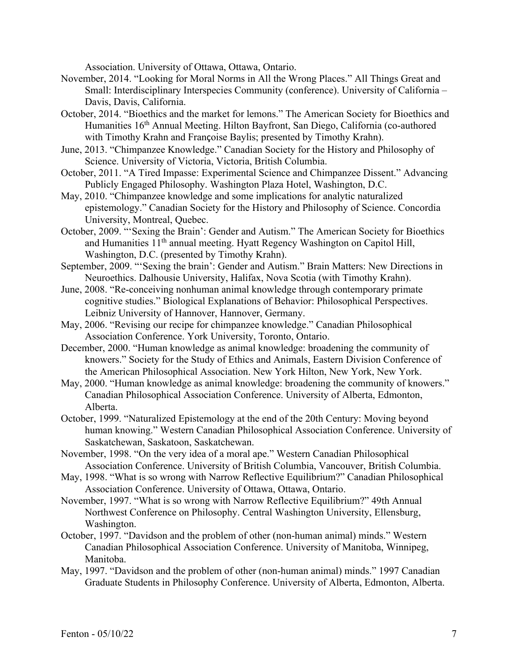Association. University of Ottawa, Ottawa, Ontario.

- November, 2014. "Looking for Moral Norms in All the Wrong Places." All Things Great and Small: Interdisciplinary Interspecies Community (conference). University of California – Davis, Davis, California.
- October, 2014. "Bioethics and the market for lemons." The American Society for Bioethics and Humanities 16<sup>th</sup> Annual Meeting. Hilton Bayfront, San Diego, California (co-authored with Timothy Krahn and Françoise Baylis; presented by Timothy Krahn).
- June, 2013. "Chimpanzee Knowledge." Canadian Society for the History and Philosophy of Science. University of Victoria, Victoria, British Columbia.
- October, 2011. "A Tired Impasse: Experimental Science and Chimpanzee Dissent." Advancing Publicly Engaged Philosophy. Washington Plaza Hotel, Washington, D.C.
- May, 2010. "Chimpanzee knowledge and some implications for analytic naturalized epistemology." Canadian Society for the History and Philosophy of Science. Concordia University, Montreal, Quebec.
- October, 2009. "'Sexing the Brain': Gender and Autism." The American Society for Bioethics and Humanities 11<sup>th</sup> annual meeting. Hyatt Regency Washington on Capitol Hill, Washington, D.C. (presented by Timothy Krahn).
- September, 2009. "'Sexing the brain': Gender and Autism." Brain Matters: New Directions in Neuroethics. Dalhousie University, Halifax, Nova Scotia (with Timothy Krahn).
- June, 2008. "Re-conceiving nonhuman animal knowledge through contemporary primate cognitive studies." Biological Explanations of Behavior: Philosophical Perspectives. Leibniz University of Hannover, Hannover, Germany.
- May, 2006. "Revising our recipe for chimpanzee knowledge." Canadian Philosophical Association Conference. York University, Toronto, Ontario.
- December, 2000. "Human knowledge as animal knowledge: broadening the community of knowers." Society for the Study of Ethics and Animals, Eastern Division Conference of the American Philosophical Association. New York Hilton, New York, New York.
- May, 2000. "Human knowledge as animal knowledge: broadening the community of knowers." Canadian Philosophical Association Conference. University of Alberta, Edmonton, Alberta.
- October, 1999. "Naturalized Epistemology at the end of the 20th Century: Moving beyond human knowing." Western Canadian Philosophical Association Conference. University of Saskatchewan, Saskatoon, Saskatchewan.
- November, 1998. "On the very idea of a moral ape." Western Canadian Philosophical Association Conference. University of British Columbia, Vancouver, British Columbia.
- May, 1998. "What is so wrong with Narrow Reflective Equilibrium?" Canadian Philosophical Association Conference. University of Ottawa, Ottawa, Ontario.
- November, 1997. "What is so wrong with Narrow Reflective Equilibrium?" 49th Annual Northwest Conference on Philosophy. Central Washington University, Ellensburg, Washington.
- October, 1997. "Davidson and the problem of other (non-human animal) minds." Western Canadian Philosophical Association Conference. University of Manitoba, Winnipeg, Manitoba.
- May, 1997. "Davidson and the problem of other (non-human animal) minds." 1997 Canadian Graduate Students in Philosophy Conference. University of Alberta, Edmonton, Alberta.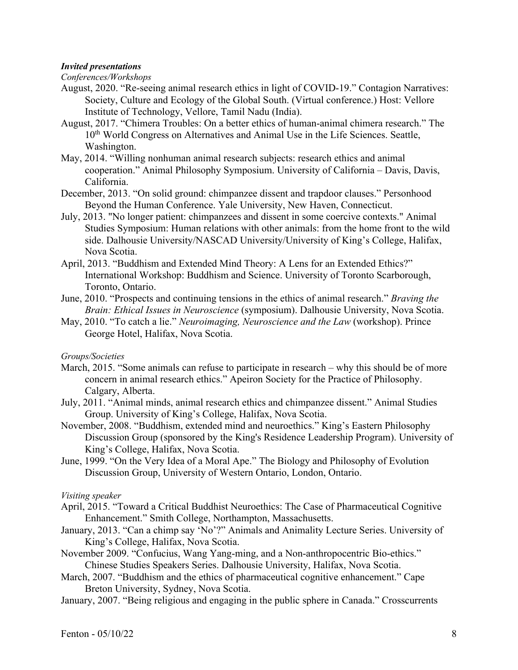## *Invited presentations*

*Conferences/Workshops*

- August, 2020. "Re-seeing animal research ethics in light of COVID-19." Contagion Narratives: Society, Culture and Ecology of the Global South. (Virtual conference.) Host: Vellore Institute of Technology, Vellore, Tamil Nadu (India).
- August, 2017. "Chimera Troubles: On a better ethics of human-animal chimera research." The 10<sup>th</sup> World Congress on Alternatives and Animal Use in the Life Sciences. Seattle, Washington.
- May, 2014. "Willing nonhuman animal research subjects: research ethics and animal cooperation." Animal Philosophy Symposium. University of California – Davis, Davis, California.
- December, 2013. "On solid ground: chimpanzee dissent and trapdoor clauses." Personhood Beyond the Human Conference. Yale University, New Haven, Connecticut.
- July, 2013. "No longer patient: chimpanzees and dissent in some coercive contexts." Animal Studies Symposium: Human relations with other animals: from the home front to the wild side. Dalhousie University/NASCAD University/University of King's College, Halifax, Nova Scotia.
- April, 2013. "Buddhism and Extended Mind Theory: A Lens for an Extended Ethics?" International Workshop: Buddhism and Science. University of Toronto Scarborough, Toronto, Ontario.
- June, 2010. "Prospects and continuing tensions in the ethics of animal research." *Braving the Brain: Ethical Issues in Neuroscience* (symposium). Dalhousie University, Nova Scotia.
- May, 2010. "To catch a lie." *Neuroimaging, Neuroscience and the Law* (workshop). Prince George Hotel, Halifax, Nova Scotia.

*Groups/Societies*

- March, 2015. "Some animals can refuse to participate in research why this should be of more concern in animal research ethics." Apeiron Society for the Practice of Philosophy. Calgary, Alberta.
- July, 2011. "Animal minds, animal research ethics and chimpanzee dissent." Animal Studies Group. University of King's College, Halifax, Nova Scotia.
- November, 2008. "Buddhism, extended mind and neuroethics." King's Eastern Philosophy Discussion Group (sponsored by the King's Residence Leadership Program). University of King's College, Halifax, Nova Scotia.
- June, 1999. "On the Very Idea of a Moral Ape." The Biology and Philosophy of Evolution Discussion Group, University of Western Ontario, London, Ontario.

#### *Visiting speaker*

- April, 2015. "Toward a Critical Buddhist Neuroethics: The Case of Pharmaceutical Cognitive Enhancement." Smith College, Northampton, Massachusetts.
- January, 2013. "Can a chimp say 'No'?" Animals and Animality Lecture Series. University of King's College, Halifax, Nova Scotia.
- November 2009. "Confucius, Wang Yang-ming, and a Non-anthropocentric Bio-ethics." Chinese Studies Speakers Series. Dalhousie University, Halifax, Nova Scotia.
- March, 2007. "Buddhism and the ethics of pharmaceutical cognitive enhancement." Cape Breton University, Sydney, Nova Scotia.
- January, 2007. "Being religious and engaging in the public sphere in Canada." Crosscurrents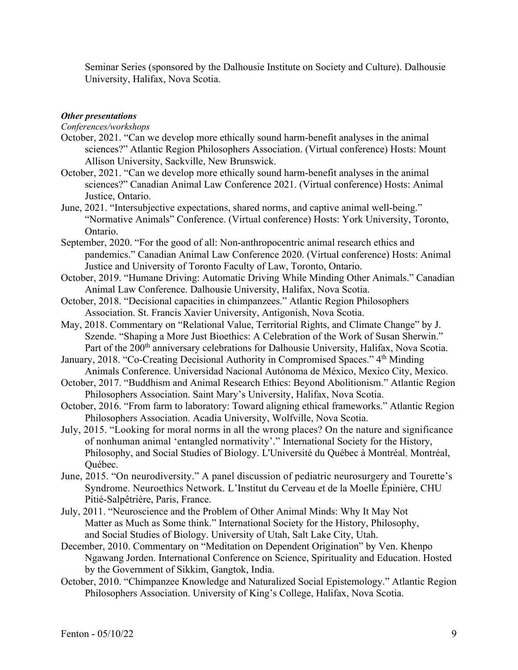Seminar Series (sponsored by the Dalhousie Institute on Society and Culture). Dalhousie University, Halifax, Nova Scotia.

# *Other presentations*

*Conferences/workshops*

- October, 2021. "Can we develop more ethically sound harm-benefit analyses in the animal sciences?" Atlantic Region Philosophers Association. (Virtual conference) Hosts: Mount Allison University, Sackville, New Brunswick.
- October, 2021. "Can we develop more ethically sound harm-benefit analyses in the animal sciences?" Canadian Animal Law Conference 2021. (Virtual conference) Hosts: Animal Justice, Ontario.
- June, 2021. "Intersubjective expectations, shared norms, and captive animal well-being." "Normative Animals" Conference. (Virtual conference) Hosts: York University, Toronto, Ontario.
- September, 2020. "For the good of all: Non-anthropocentric animal research ethics and pandemics." Canadian Animal Law Conference 2020. (Virtual conference) Hosts: Animal Justice and University of Toronto Faculty of Law, Toronto, Ontario.
- October, 2019. "Humane Driving: Automatic Driving While Minding Other Animals." Canadian Animal Law Conference. Dalhousie University, Halifax, Nova Scotia.
- October, 2018. "Decisional capacities in chimpanzees." Atlantic Region Philosophers Association. St. Francis Xavier University, Antigonish, Nova Scotia.
- May, 2018. Commentary on "Relational Value, Territorial Rights, and Climate Change" by J. Szende. "Shaping a More Just Bioethics: A Celebration of the Work of Susan Sherwin." Part of the 200<sup>th</sup> anniversary celebrations for Dalhousie University, Halifax, Nova Scotia.
- January, 2018. "Co-Creating Decisional Authority in Compromised Spaces." 4<sup>th</sup> Minding Animals Conference. Universidad Nacional Autónoma de México, Mexico City, Mexico.
- October, 2017. "Buddhism and Animal Research Ethics: Beyond Abolitionism." Atlantic Region Philosophers Association. Saint Mary's University, Halifax, Nova Scotia.
- October, 2016. "From farm to laboratory: Toward aligning ethical frameworks." Atlantic Region Philosophers Association. Acadia University, Wolfville, Nova Scotia.
- July, 2015. "Looking for moral norms in all the wrong places? On the nature and significance of nonhuman animal 'entangled normativity'." International Society for the History, Philosophy, and Social Studies of Biology. L'Université du Québec à Montréal, Montréal, Québec.
- June, 2015. "On neurodiversity." A panel discussion of pediatric neurosurgery and Tourette's Syndrome. Neuroethics Network. L'Institut du Cerveau et de la Moelle Épinière, CHU Pitié-Salpêtrière, Paris, France.
- July, 2011. "Neuroscience and the Problem of Other Animal Minds: Why It May Not Matter as Much as Some think." International Society for the History, Philosophy, and Social Studies of Biology. University of Utah, Salt Lake City, Utah.
- December, 2010. Commentary on "Meditation on Dependent Origination" by Ven. Khenpo Ngawang Jorden. International Conference on Science, Spirituality and Education. Hosted by the Government of Sikkim, Gangtok, India.
- October, 2010. "Chimpanzee Knowledge and Naturalized Social Epistemology." Atlantic Region Philosophers Association. University of King's College, Halifax, Nova Scotia.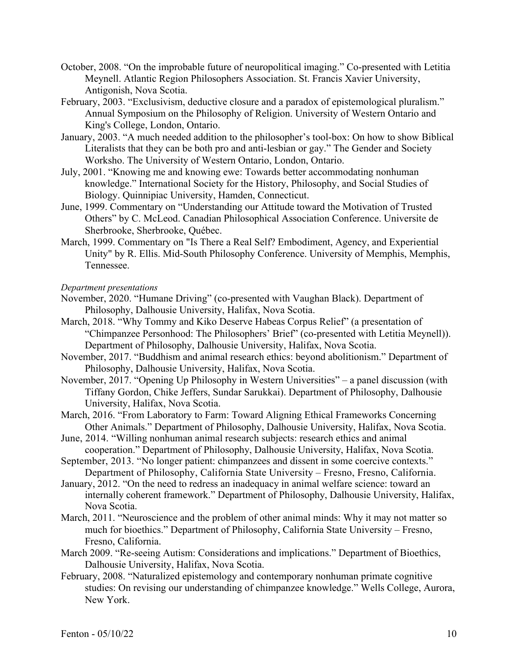- October, 2008. "On the improbable future of neuropolitical imaging." Co-presented with Letitia Meynell. Atlantic Region Philosophers Association. St. Francis Xavier University, Antigonish, Nova Scotia.
- February, 2003. "Exclusivism, deductive closure and a paradox of epistemological pluralism." Annual Symposium on the Philosophy of Religion. University of Western Ontario and King's College, London, Ontario.
- January, 2003. "A much needed addition to the philosopher's tool-box: On how to show Biblical Literalists that they can be both pro and anti-lesbian or gay." The Gender and Society Worksho. The University of Western Ontario, London, Ontario.
- July, 2001. "Knowing me and knowing ewe: Towards better accommodating nonhuman knowledge." International Society for the History, Philosophy, and Social Studies of Biology. Quinnipiac University, Hamden, Connecticut.
- June, 1999. Commentary on "Understanding our Attitude toward the Motivation of Trusted Others" by C. McLeod. Canadian Philosophical Association Conference. Universite de Sherbrooke, Sherbrooke, Québec.
- March, 1999. Commentary on "Is There a Real Self? Embodiment, Agency, and Experiential Unity" by R. Ellis. Mid-South Philosophy Conference. University of Memphis, Memphis, Tennessee.

*Department presentations*

- November, 2020. "Humane Driving" (co-presented with Vaughan Black). Department of Philosophy, Dalhousie University, Halifax, Nova Scotia.
- March, 2018. "Why Tommy and Kiko Deserve Habeas Corpus Relief" (a presentation of "Chimpanzee Personhood: The Philosophers' Brief" (co-presented with Letitia Meynell)). Department of Philosophy, Dalhousie University, Halifax, Nova Scotia.
- November, 2017. "Buddhism and animal research ethics: beyond abolitionism." Department of Philosophy, Dalhousie University, Halifax, Nova Scotia.
- November, 2017. "Opening Up Philosophy in Western Universities" a panel discussion (with Tiffany Gordon, Chike Jeffers, Sundar Sarukkai). Department of Philosophy, Dalhousie University, Halifax, Nova Scotia.
- March, 2016. "From Laboratory to Farm: Toward Aligning Ethical Frameworks Concerning Other Animals." Department of Philosophy, Dalhousie University, Halifax, Nova Scotia.
- June, 2014. "Willing nonhuman animal research subjects: research ethics and animal cooperation." Department of Philosophy, Dalhousie University, Halifax, Nova Scotia.
- September, 2013. "No longer patient: chimpanzees and dissent in some coercive contexts." Department of Philosophy, California State University – Fresno, Fresno, California.
- January, 2012. "On the need to redress an inadequacy in animal welfare science: toward an internally coherent framework." Department of Philosophy, Dalhousie University, Halifax, Nova Scotia.
- March, 2011. "Neuroscience and the problem of other animal minds: Why it may not matter so much for bioethics." Department of Philosophy, California State University – Fresno, Fresno, California.
- March 2009. "Re-seeing Autism: Considerations and implications." Department of Bioethics, Dalhousie University, Halifax, Nova Scotia.
- February, 2008. "Naturalized epistemology and contemporary nonhuman primate cognitive studies: On revising our understanding of chimpanzee knowledge." Wells College, Aurora, New York.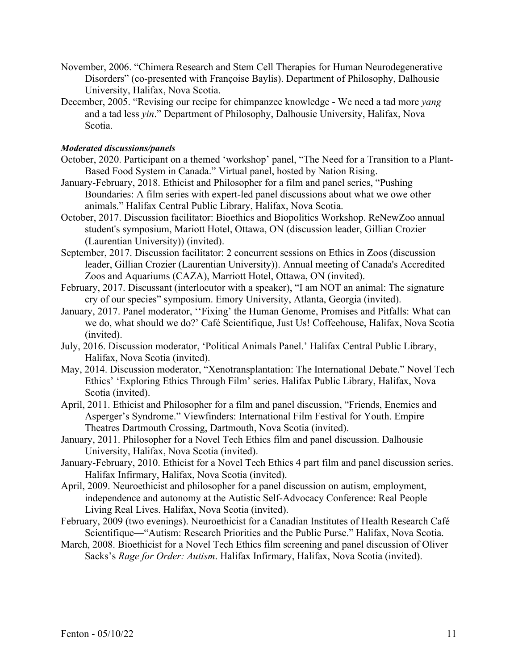- November, 2006. "Chimera Research and Stem Cell Therapies for Human Neurodegenerative Disorders" (co-presented with Françoise Baylis). Department of Philosophy, Dalhousie University, Halifax, Nova Scotia.
- December, 2005. "Revising our recipe for chimpanzee knowledge We need a tad more *yang*  and a tad less *yin*." Department of Philosophy, Dalhousie University, Halifax, Nova Scotia.

## *Moderated discussions/panels*

- October, 2020. Participant on a themed 'workshop' panel, "The Need for a Transition to a Plant-Based Food System in Canada." Virtual panel, hosted by Nation Rising.
- January-February, 2018. Ethicist and Philosopher for a film and panel series, "Pushing Boundaries: A film series with expert-led panel discussions about what we owe other animals." Halifax Central Public Library, Halifax, Nova Scotia.
- October, 2017. Discussion facilitator: Bioethics and Biopolitics Workshop. ReNewZoo annual student's symposium, Mariott Hotel, Ottawa, ON (discussion leader, Gillian Crozier (Laurentian University)) (invited).
- September, 2017. Discussion facilitator: 2 concurrent sessions on Ethics in Zoos (discussion leader, Gillian Crozier (Laurentian University)). Annual meeting of Canada's Accredited Zoos and Aquariums (CAZA), Marriott Hotel, Ottawa, ON (invited).
- February, 2017. Discussant (interlocutor with a speaker), "I am NOT an animal: The signature cry of our species" symposium. Emory University, Atlanta, Georgia (invited).
- January, 2017. Panel moderator, ''Fixing' the Human Genome, Promises and Pitfalls: What can we do, what should we do?' Café Scientifique, Just Us! Coffeehouse, Halifax, Nova Scotia (invited).
- July, 2016. Discussion moderator, 'Political Animals Panel.' Halifax Central Public Library, Halifax, Nova Scotia (invited).
- May, 2014. Discussion moderator, "Xenotransplantation: The International Debate." Novel Tech Ethics' 'Exploring Ethics Through Film' series. Halifax Public Library, Halifax, Nova Scotia (invited).
- April, 2011. Ethicist and Philosopher for a film and panel discussion, "Friends, Enemies and Asperger's Syndrome." Viewfinders: International Film Festival for Youth. Empire Theatres Dartmouth Crossing, Dartmouth, Nova Scotia (invited).
- January, 2011. Philosopher for a Novel Tech Ethics film and panel discussion. Dalhousie University, Halifax, Nova Scotia (invited).
- January-February, 2010. Ethicist for a Novel Tech Ethics 4 part film and panel discussion series. Halifax Infirmary, Halifax, Nova Scotia (invited).
- April, 2009. Neuroethicist and philosopher for a panel discussion on autism, employment, independence and autonomy at the Autistic Self-Advocacy Conference: Real People Living Real Lives. Halifax, Nova Scotia (invited).
- February, 2009 (two evenings). Neuroethicist for a Canadian Institutes of Health Research Café Scientifique—"Autism: Research Priorities and the Public Purse." Halifax, Nova Scotia.
- March, 2008. Bioethicist for a Novel Tech Ethics film screening and panel discussion of Oliver Sacks's *Rage for Order: Autism*. Halifax Infirmary, Halifax, Nova Scotia (invited).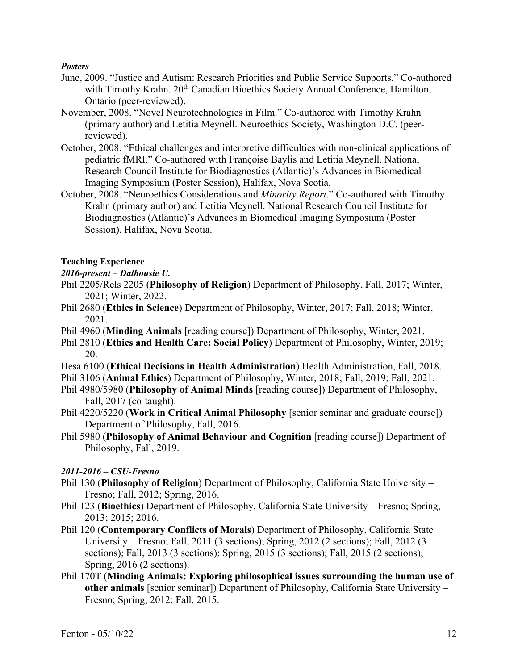# *Posters*

- June, 2009. "Justice and Autism: Research Priorities and Public Service Supports." Co-authored with Timothy Krahn. 20<sup>th</sup> Canadian Bioethics Society Annual Conference, Hamilton, Ontario (peer-reviewed).
- November, 2008. "Novel Neurotechnologies in Film." Co-authored with Timothy Krahn (primary author) and Letitia Meynell. Neuroethics Society, Washington D.C. (peerreviewed).
- October, 2008. "Ethical challenges and interpretive difficulties with non-clinical applications of pediatric fMRI." Co-authored with Françoise Baylis and Letitia Meynell. National Research Council Institute for Biodiagnostics (Atlantic)'s Advances in Biomedical Imaging Symposium (Poster Session), Halifax, Nova Scotia.
- October, 2008. "Neuroethics Considerations and *Minority Report*." Co-authored with Timothy Krahn (primary author) and Letitia Meynell. National Research Council Institute for Biodiagnostics (Atlantic)'s Advances in Biomedical Imaging Symposium (Poster Session), Halifax, Nova Scotia.

# **Teaching Experience**

# *2016-present – Dalhousie U.*

- Phil 2205/Rels 2205 (**Philosophy of Religion**) Department of Philosophy, Fall, 2017; Winter, 2021; Winter, 2022.
- Phil 2680 (**Ethics in Science**) Department of Philosophy, Winter, 2017; Fall, 2018; Winter, 2021.
- Phil 4960 (**Minding Animals** [reading course]) Department of Philosophy, Winter, 2021.
- Phil 2810 (**Ethics and Health Care: Social Policy**) Department of Philosophy, Winter, 2019; 20.
- Hesa 6100 (**Ethical Decisions in Health Administration**) Health Administration, Fall, 2018.
- Phil 3106 (**Animal Ethics**) Department of Philosophy, Winter, 2018; Fall, 2019; Fall, 2021.
- Phil 4980/5980 (**Philosophy of Animal Minds** [reading course]) Department of Philosophy, Fall, 2017 (co-taught).
- Phil 4220/5220 (**Work in Critical Animal Philosophy** [senior seminar and graduate course]) Department of Philosophy, Fall, 2016.
- Phil 5980 (**Philosophy of Animal Behaviour and Cognition** [reading course]) Department of Philosophy, Fall, 2019.

# *2011-2016 – CSU-Fresno*

- Phil 130 (**Philosophy of Religion**) Department of Philosophy, California State University Fresno; Fall, 2012; Spring, 2016.
- Phil 123 (**Bioethics**) Department of Philosophy, California State University Fresno; Spring, 2013; 2015; 2016.
- Phil 120 (**Contemporary Conflicts of Morals**) Department of Philosophy, California State University – Fresno; Fall, 2011 (3 sections); Spring, 2012 (2 sections); Fall, 2012 (3 sections); Fall, 2013 (3 sections); Spring, 2015 (3 sections); Fall, 2015 (2 sections); Spring, 2016 (2 sections).
- Phil 170T (**Minding Animals: Exploring philosophical issues surrounding the human use of other animals** [senior seminar]) Department of Philosophy, California State University – Fresno; Spring, 2012; Fall, 2015.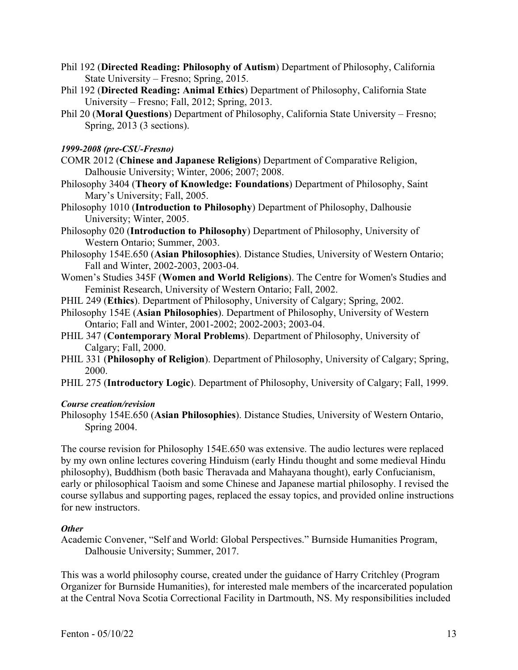- Phil 192 (**Directed Reading: Philosophy of Autism**) Department of Philosophy, California State University – Fresno; Spring, 2015.
- Phil 192 (**Directed Reading: Animal Ethics**) Department of Philosophy, California State University – Fresno; Fall, 2012; Spring, 2013.
- Phil 20 (**Moral Questions**) Department of Philosophy, California State University Fresno; Spring, 2013 (3 sections).

# *1999-2008 (pre-CSU-Fresno)*

- COMR 2012 (**Chinese and Japanese Religions**) Department of Comparative Religion, Dalhousie University; Winter, 2006; 2007; 2008.
- Philosophy 3404 (**Theory of Knowledge: Foundations**) Department of Philosophy, Saint Mary's University; Fall, 2005.
- Philosophy 1010 (**Introduction to Philosophy**) Department of Philosophy, Dalhousie University; Winter, 2005.
- Philosophy 020 (**Introduction to Philosophy**) Department of Philosophy, University of Western Ontario; Summer, 2003.
- Philosophy 154E.650 (**Asian Philosophies**). Distance Studies, University of Western Ontario; Fall and Winter, 2002-2003, 2003-04.
- Women's Studies 345F (**Women and World Religions**). The Centre for Women's Studies and Feminist Research, University of Western Ontario; Fall, 2002.
- PHIL 249 (**Ethics**). Department of Philosophy, University of Calgary; Spring, 2002.
- Philosophy 154E (**Asian Philosophies**). Department of Philosophy, University of Western Ontario; Fall and Winter, 2001-2002; 2002-2003; 2003-04.
- PHIL 347 (**Contemporary Moral Problems**). Department of Philosophy, University of Calgary; Fall, 2000.
- PHIL 331 (**Philosophy of Religion**). Department of Philosophy, University of Calgary; Spring, 2000.
- PHIL 275 (**Introductory Logic**). Department of Philosophy, University of Calgary; Fall, 1999.

## *Course creation/revision*

Philosophy 154E.650 (**Asian Philosophies**). Distance Studies, University of Western Ontario, Spring 2004.

The course revision for Philosophy 154E.650 was extensive. The audio lectures were replaced by my own online lectures covering Hinduism (early Hindu thought and some medieval Hindu philosophy), Buddhism (both basic Theravada and Mahayana thought), early Confucianism, early or philosophical Taoism and some Chinese and Japanese martial philosophy. I revised the course syllabus and supporting pages, replaced the essay topics, and provided online instructions for new instructors.

# *Other*

Academic Convener, "Self and World: Global Perspectives." Burnside Humanities Program, Dalhousie University; Summer, 2017.

This was a world philosophy course, created under the guidance of Harry Critchley (Program Organizer for Burnside Humanities), for interested male members of the incarcerated population at the Central Nova Scotia Correctional Facility in Dartmouth, NS. My responsibilities included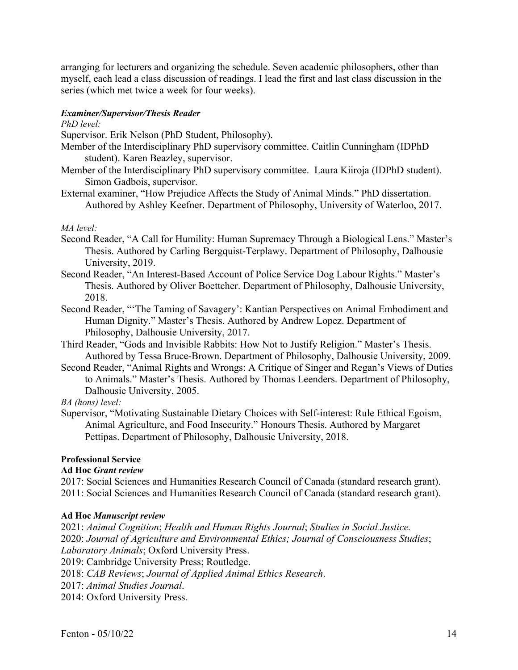arranging for lecturers and organizing the schedule. Seven academic philosophers, other than myself, each lead a class discussion of readings. I lead the first and last class discussion in the series (which met twice a week for four weeks).

## *Examiner/Supervisor/Thesis Reader*

#### *PhD level:*

Supervisor. Erik Nelson (PhD Student, Philosophy).

- Member of the Interdisciplinary PhD supervisory committee. Caitlin Cunningham (IDPhD student). Karen Beazley, supervisor.
- Member of the Interdisciplinary PhD supervisory committee. Laura Kiiroja (IDPhD student). Simon Gadbois, supervisor.
- External examiner, "How Prejudice Affects the Study of Animal Minds." PhD dissertation. Authored by Ashley Keefner. Department of Philosophy, University of Waterloo, 2017.

## *MA level:*

- Second Reader, "A Call for Humility: Human Supremacy Through a Biological Lens." Master's Thesis. Authored by Carling Bergquist-Terplawy. Department of Philosophy, Dalhousie University, 2019.
- Second Reader, "An Interest-Based Account of Police Service Dog Labour Rights." Master's Thesis. Authored by Oliver Boettcher. Department of Philosophy, Dalhousie University, 2018.
- Second Reader, "'The Taming of Savagery': Kantian Perspectives on Animal Embodiment and Human Dignity." Master's Thesis. Authored by Andrew Lopez. Department of Philosophy, Dalhousie University, 2017.
- Third Reader, "Gods and Invisible Rabbits: How Not to Justify Religion." Master's Thesis. Authored by Tessa Bruce-Brown. Department of Philosophy, Dalhousie University, 2009.
- Second Reader, "Animal Rights and Wrongs: A Critique of Singer and Regan's Views of Duties to Animals." Master's Thesis. Authored by Thomas Leenders. Department of Philosophy, Dalhousie University, 2005.

*BA (hons) level:*

Supervisor, "Motivating Sustainable Dietary Choices with Self-interest: Rule Ethical Egoism, Animal Agriculture, and Food Insecurity." Honours Thesis. Authored by Margaret Pettipas. Department of Philosophy, Dalhousie University, 2018.

# **Professional Service**

# **Ad Hoc** *Grant review*

2017: Social Sciences and Humanities Research Council of Canada (standard research grant). 2011: Social Sciences and Humanities Research Council of Canada (standard research grant).

#### **Ad Hoc** *Manuscript review*

2021: *Animal Cognition*; *Health and Human Rights Journal*; *Studies in Social Justice.* 2020: *Journal of Agriculture and Environmental Ethics; Journal of Consciousness Studies*; *Laboratory Animals*; Oxford University Press. 2019: Cambridge University Press; Routledge. 2018: *CAB Reviews*; *Journal of Applied Animal Ethics Research*. 2017: *Animal Studies Journal*. 2014: Oxford University Press.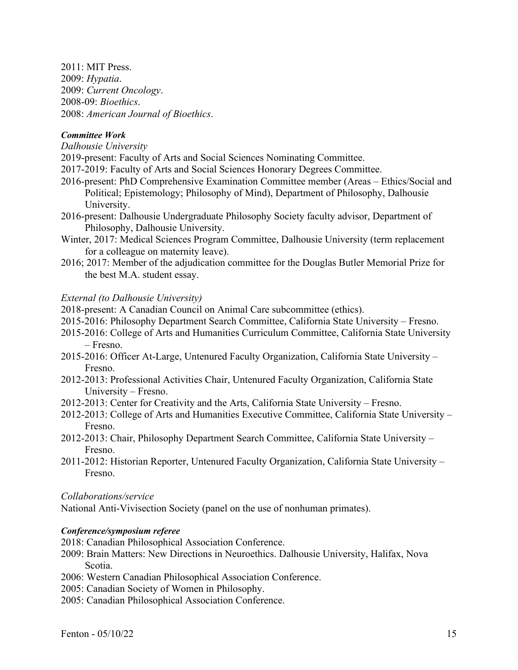2011: MIT Press. 2009: *Hypatia*. 2009: *Current Oncology*. 2008-09: *Bioethics*. 2008: *American Journal of Bioethics*.

# *Committee Work*

*Dalhousie University*

2019-present: Faculty of Arts and Social Sciences Nominating Committee.

2017-2019: Faculty of Arts and Social Sciences Honorary Degrees Committee.

- 2016-present: PhD Comprehensive Examination Committee member (Areas Ethics/Social and Political; Epistemology; Philosophy of Mind), Department of Philosophy, Dalhousie University.
- 2016-present: Dalhousie Undergraduate Philosophy Society faculty advisor, Department of Philosophy, Dalhousie University.
- Winter, 2017: Medical Sciences Program Committee, Dalhousie University (term replacement for a colleague on maternity leave).
- 2016; 2017: Member of the adjudication committee for the Douglas Butler Memorial Prize for the best M.A. student essay.

## *External (to Dalhousie University)*

2018-present: A Canadian Council on Animal Care subcommittee (ethics).

- 2015-2016: Philosophy Department Search Committee, California State University Fresno.
- 2015-2016: College of Arts and Humanities Curriculum Committee, California State University – Fresno.
- 2015-2016: Officer At-Large, Untenured Faculty Organization, California State University Fresno.
- 2012-2013: Professional Activities Chair, Untenured Faculty Organization, California State University – Fresno.
- 2012-2013: Center for Creativity and the Arts, California State University Fresno.
- 2012-2013: College of Arts and Humanities Executive Committee, California State University Fresno.
- 2012-2013: Chair, Philosophy Department Search Committee, California State University Fresno.
- 2011-2012: Historian Reporter, Untenured Faculty Organization, California State University Fresno.

## *Collaborations/service*

National Anti-Vivisection Society (panel on the use of nonhuman primates).

## *Conference/symposium referee*

- 2018: Canadian Philosophical Association Conference.
- 2009: Brain Matters: New Directions in Neuroethics. Dalhousie University, Halifax, Nova Scotia.
- 2006: Western Canadian Philosophical Association Conference.
- 2005: Canadian Society of Women in Philosophy.
- 2005: Canadian Philosophical Association Conference.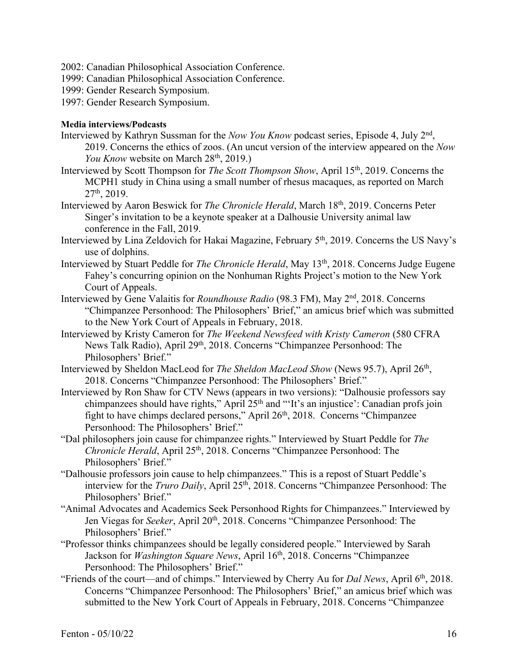- 2002: Canadian Philosophical Association Conference.
- 1999: Canadian Philosophical Association Conference.
- 1999: Gender Research Symposium.
- 1997: Gender Research Symposium.

# **Media interviews/Podcasts**

- Interviewed by Kathryn Sussman for the *Now You Know* podcast series, Episode 4, July 2nd, 2019. Concerns the ethics of zoos. (An uncut version of the interview appeared on the *Now You Know* website on March 28<sup>th</sup>, 2019.)
- Interviewed by Scott Thompson for *The Scott Thompson Show*, April 15th, 2019. Concerns the MCPH1 study in China using a small number of rhesus macaques, as reported on March  $27<sup>th</sup>$ , 2019.
- Interviewed by Aaron Beswick for *The Chronicle Herald*, March 18th, 2019. Concerns Peter Singer's invitation to be a keynote speaker at a Dalhousie University animal law conference in the Fall, 2019.
- Interviewed by Lina Zeldovich for Hakai Magazine, February 5<sup>th</sup>, 2019. Concerns the US Navy's use of dolphins.
- Interviewed by Stuart Peddle for *The Chronicle Herald*, May 13<sup>th</sup>, 2018. Concerns Judge Eugene Fahey's concurring opinion on the Nonhuman Rights Project's motion to the New York Court of Appeals.
- Interviewed by Gene Valaitis for *Roundhouse Radio* (98.3 FM), May 2nd, 2018. Concerns "Chimpanzee Personhood: The Philosophers' Brief," an amicus brief which was submitted to the New York Court of Appeals in February, 2018.
- Interviewed by Kristy Cameron for *The Weekend Newsfeed with Kristy Cameron* (580 CFRA News Talk Radio), April 29<sup>th</sup>, 2018. Concerns "Chimpanzee Personhood: The Philosophers' Brief."
- Interviewed by Sheldon MacLeod for *The Sheldon MacLeod Show* (News 95.7), April 26th, 2018. Concerns "Chimpanzee Personhood: The Philosophers' Brief."
- Interviewed by Ron Shaw for CTV News (appears in two versions): "Dalhousie professors say chimpanzees should have rights," April  $25<sup>th</sup>$  and "'It's an injustice': Canadian profs join fight to have chimps declared persons," April 26th, 2018. Concerns "Chimpanzee Personhood: The Philosophers' Brief."
- "Dal philosophers join cause for chimpanzee rights." Interviewed by Stuart Peddle for *The Chronicle Herald*, April 25<sup>th</sup>, 2018. Concerns "Chimpanzee Personhood: The Philosophers' Brief."
- "Dalhousie professors join cause to help chimpanzees." This is a repost of Stuart Peddle's interview for the *Truro Daily*, April 25<sup>th</sup>, 2018. Concerns "Chimpanzee Personhood: The Philosophers' Brief."
- "Animal Advocates and Academics Seek Personhood Rights for Chimpanzees." Interviewed by Jen Viegas for *Seeker*, April 20<sup>th</sup>, 2018. Concerns "Chimpanzee Personhood: The Philosophers' Brief."
- "Professor thinks chimpanzees should be legally considered people." Interviewed by Sarah Jackson for *Washington Square News*, April 16<sup>th</sup>, 2018. Concerns "Chimpanzee Personhood: The Philosophers' Brief."
- "Friends of the court—and of chimps." Interviewed by Cherry Au for *Dal News*, April 6th, 2018. Concerns "Chimpanzee Personhood: The Philosophers' Brief," an amicus brief which was submitted to the New York Court of Appeals in February, 2018. Concerns "Chimpanzee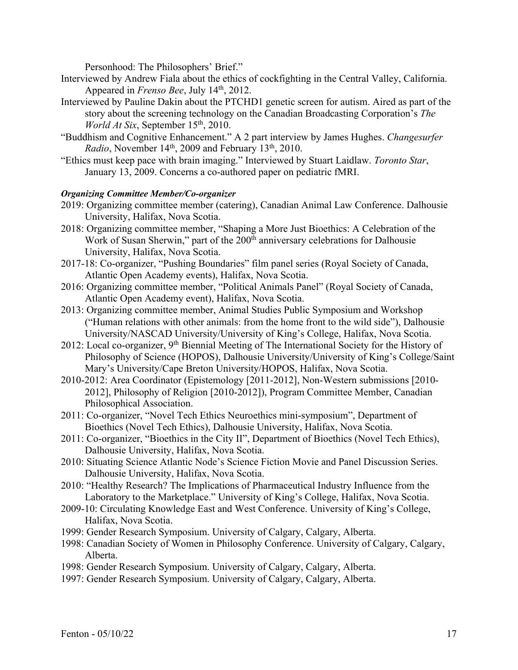Personhood: The Philosophers' Brief."

- Interviewed by Andrew Fiala about the ethics of cockfighting in the Central Valley, California. Appeared in *Frenso Bee*, July 14th, 2012.
- Interviewed by Pauline Dakin about the PTCHD1 genetic screen for autism. Aired as part of the story about the screening technology on the Canadian Broadcasting Corporation's *The World At Six*, September 15<sup>th</sup>, 2010.
- "Buddhism and Cognitive Enhancement." A 2 part interview by James Hughes. *Changesurfer Radio*, November 14<sup>th</sup>, 2009 and February 13<sup>th</sup>, 2010.
- "Ethics must keep pace with brain imaging." Interviewed by Stuart Laidlaw. *Toronto Star*, January 13, 2009. Concerns a co-authored paper on pediatric fMRI.

# *Organizing Committee Member/Co-organizer*

- 2019: Organizing committee member (catering), Canadian Animal Law Conference. Dalhousie University, Halifax, Nova Scotia.
- 2018: Organizing committee member, "Shaping a More Just Bioethics: A Celebration of the Work of Susan Sherwin," part of the 200<sup>th</sup> anniversary celebrations for Dalhousie University, Halifax, Nova Scotia.
- 2017-18: Co-organizer, "Pushing Boundaries" film panel series (Royal Society of Canada, Atlantic Open Academy events), Halifax, Nova Scotia.
- 2016: Organizing committee member, "Political Animals Panel" (Royal Society of Canada, Atlantic Open Academy event), Halifax, Nova Scotia.
- 2013: Organizing committee member, Animal Studies Public Symposium and Workshop ("Human relations with other animals: from the home front to the wild side"), Dalhousie University/NASCAD University/University of King's College, Halifax, Nova Scotia.
- 2012: Local co-organizer, 9<sup>th</sup> Biennial Meeting of The International Society for the History of Philosophy of Science (HOPOS), Dalhousie University/University of King's College/Saint Mary's University/Cape Breton University/HOPOS, Halifax, Nova Scotia.
- 2010-2012: Area Coordinator (Epistemology [2011-2012], Non-Western submissions [2010- 2012], Philosophy of Religion [2010-2012]), Program Committee Member, Canadian Philosophical Association.
- 2011: Co-organizer, "Novel Tech Ethics Neuroethics mini-symposium", Department of Bioethics (Novel Tech Ethics), Dalhousie University, Halifax, Nova Scotia.
- 2011: Co-organizer, "Bioethics in the City II", Department of Bioethics (Novel Tech Ethics), Dalhousie University, Halifax, Nova Scotia.
- 2010: Situating Science Atlantic Node's Science Fiction Movie and Panel Discussion Series. Dalhousie University, Halifax, Nova Scotia.
- 2010: "Healthy Research? The Implications of Pharmaceutical Industry Influence from the Laboratory to the Marketplace." University of King's College, Halifax, Nova Scotia.
- 2009-10: Circulating Knowledge East and West Conference. University of King's College, Halifax, Nova Scotia.
- 1999: Gender Research Symposium. University of Calgary, Calgary, Alberta.
- 1998: Canadian Society of Women in Philosophy Conference. University of Calgary, Calgary, Alberta.
- 1998: Gender Research Symposium. University of Calgary, Calgary, Alberta.
- 1997: Gender Research Symposium. University of Calgary, Calgary, Alberta.